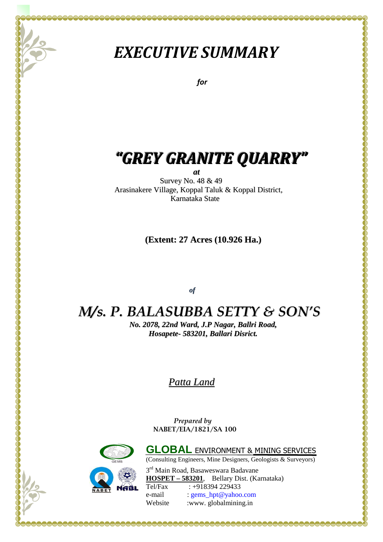# *EXECUTIVE SUMMARY*

 *for* 

# *"GREY GRANITE QUARRY"*

*at*

Survey No. 48 & 49 Arasinakere Village, Koppal Taluk & Koppal District, Karnataka State

**(Extent: 27 Acres (10.926 Ha.)**

*of*

# *M/s. P. BALASUBBA SETTY & SON'S*

*No. 2078, 22nd Ward, J.P Nagar, Ballri Road, Hosapete- 583201, Ballari Disrict.*

*Patta Land*

 *Prepared by*   **NABET/EIA/1821/SA 100**



(Consulting Engineers, Mine Designers, Geologists & Surveyors) 3<sup>rd</sup> Main Road, Basaweswara Badavane **HOSPET – 583201**, Bellary Dist. (Karnataka) Tel/Fax : +918394 229433

**GLOBAL** ENVIRONMENT & MINING SERVICES

e-mail : gems\_hpt@yahoo.com Website :www.globalmining.in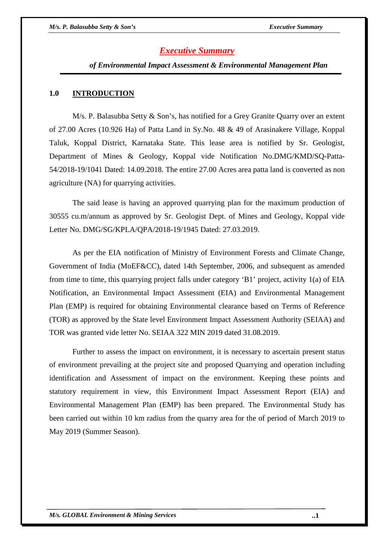# *Executive Summary*

 *of Environmental Impact Assessment & Environmental Management Plan* 

#### **1.0 INTRODUCTION**

 M/s. P. Balasubba Setty & Son's, has notified for a Grey Granite Quarry over an extent of 27.00 Acres (10.926 Ha) of Patta Land in Sy.No. 48 & 49 of Arasinakere Village, Koppal Taluk, Koppal District, Karnataka State. This lease area is notified by Sr. Geologist, Department of Mines & Geology, Koppal vide Notification No.DMG/KMD/SQ-Patta-54/2018-19/1041 Dated: 14.09.2018. The entire 27.00 Acres area patta land is converted as non agriculture (NA) for quarrying activities.

 The said lease is having an approved quarrying plan for the maximum production of 30555 cu.m/annum as approved by Sr. Geologist Dept. of Mines and Geology, Koppal vide Letter No. DMG/SG/KPLA/QPA/2018-19/1945 Dated: 27.03.2019.

 As per the EIA notification of Ministry of Environment Forests and Climate Change, Government of India (MoEF&CC), dated 14th September, 2006, and subsequent as amended from time to time, this quarrying project falls under category 'B1' project, activity 1(a) of EIA Notification, an Environmental Impact Assessment (EIA) and Environmental Management Plan (EMP) is required for obtaining Environmental clearance based on Terms of Reference (TOR) as approved by the State level Environment Impact Assessment Authority (SEIAA) and TOR was granted vide letter No. SEIAA 322 MIN 2019 dated 31.08.2019.

 Further to assess the impact on environment, it is necessary to ascertain present status of environment prevailing at the project site and proposed Quarrying and operation including identification and Assessment of impact on the environment. Keeping these points and statutory requirement in view, this Environment Impact Assessment Report (EIA) and Environmental Management Plan (EMP) has been prepared. The Environmental Study has been carried out within 10 km radius from the quarry area for the of period of March 2019 to May 2019 (Summer Season).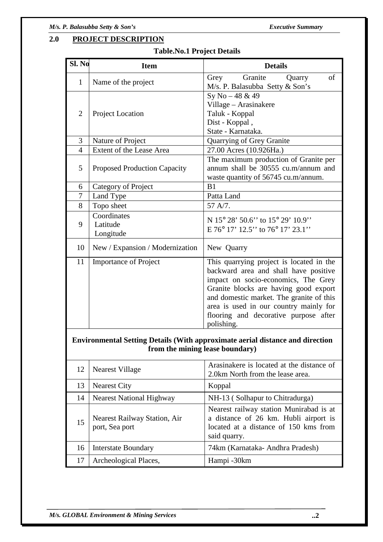# **2.0 PROJECT DESCRIPTION**

| Sl. No         | <b>Item</b>                                    | <b>Details</b>                                                                                                                                                                                                                                                                                                 |  |  |  |
|----------------|------------------------------------------------|----------------------------------------------------------------------------------------------------------------------------------------------------------------------------------------------------------------------------------------------------------------------------------------------------------------|--|--|--|
| $\mathbf{1}$   | Name of the project                            | Granite<br>of<br>Grey<br>Quarry<br>M/s. P. Balasubba Setty & Son's                                                                                                                                                                                                                                             |  |  |  |
| $\overline{2}$ | Project Location                               | Sy No - 48 & 49<br>Village - Arasinakere<br>Taluk - Koppal<br>Dist - Koppal,<br>State - Karnataka.                                                                                                                                                                                                             |  |  |  |
| 3              | Nature of Project                              | Quarrying of Grey Granite                                                                                                                                                                                                                                                                                      |  |  |  |
| $\overline{4}$ | Extent of the Lease Area                       | 27.00 Acres (10.926Ha.)                                                                                                                                                                                                                                                                                        |  |  |  |
| 5              | <b>Proposed Production Capacity</b>            | The maximum production of Granite per<br>annum shall be 30555 cu.m/annum and<br>waste quantity of 56745 cu.m/annum.                                                                                                                                                                                            |  |  |  |
| 6              | Category of Project                            | B1                                                                                                                                                                                                                                                                                                             |  |  |  |
| $\tau$         | Land Type                                      | Patta Land                                                                                                                                                                                                                                                                                                     |  |  |  |
| 8              | Topo sheet                                     | 57 A/7.                                                                                                                                                                                                                                                                                                        |  |  |  |
| 9              | Coordinates<br>Latitude<br>Longitude           | N 15° 28' 50.6" to 15° 29' 10.9"<br>$E 76^{\circ} 17' 12.5''$ to $76^{\circ} 17' 23.1''$                                                                                                                                                                                                                       |  |  |  |
| 10             | New / Expansion / Modernization                | New Quarry                                                                                                                                                                                                                                                                                                     |  |  |  |
| 11             | <b>Importance of Project</b>                   | This quarrying project is located in the<br>backward area and shall have positive<br>impact on socio-economics, The Grey<br>Granite blocks are having good export<br>and domestic market. The granite of this<br>area is used in our country mainly for<br>flooring and decorative purpose after<br>polishing. |  |  |  |
|                | from the mining lease boundary)                | <b>Environmental Setting Details (With approximate aerial distance and direction</b>                                                                                                                                                                                                                           |  |  |  |
| 12             | <b>Nearest Village</b>                         | Arasinakere is located at the distance of<br>2.0km North from the lease area.                                                                                                                                                                                                                                  |  |  |  |
| 13             | <b>Nearest City</b>                            | Koppal                                                                                                                                                                                                                                                                                                         |  |  |  |
| 14             | <b>Nearest National Highway</b>                | NH-13 (Solhapur to Chitradurga)                                                                                                                                                                                                                                                                                |  |  |  |
| 15             | Nearest Railway Station, Air<br>port, Sea port | Nearest railway station Munirabad is at<br>a distance of 26 km. Hubli airport is<br>located at a distance of 150 kms from<br>said quarry.                                                                                                                                                                      |  |  |  |
| 16             | <b>Interstate Boundary</b>                     | 74km (Karnataka- Andhra Pradesh)                                                                                                                                                                                                                                                                               |  |  |  |
| 17             | Archeological Places,                          | Hampi -30km                                                                                                                                                                                                                                                                                                    |  |  |  |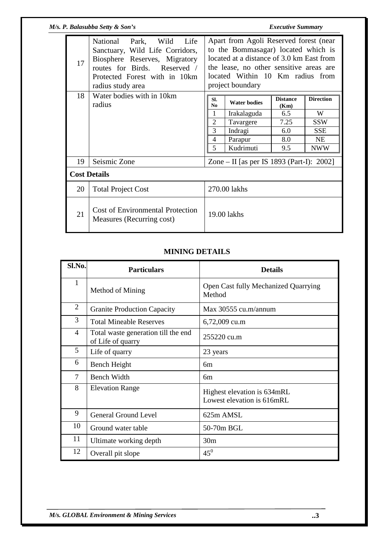|    | M/s. P. Balasubba Setty & Son's                                                                                                                                                             | <b>Executive Summary</b>                                                                                                                                                                                                      |                     |                         |                  |  |
|----|---------------------------------------------------------------------------------------------------------------------------------------------------------------------------------------------|-------------------------------------------------------------------------------------------------------------------------------------------------------------------------------------------------------------------------------|---------------------|-------------------------|------------------|--|
| 17 | National<br>Park,<br>Wild<br>Life<br>Sanctuary, Wild Life Corridors,<br>Biosphere Reserves, Migratory<br>routes for Birds. Reserved /<br>Protected Forest with in 10km<br>radius study area | Apart from Agoli Reserved forest (near<br>to the Bommasagar) located which is<br>located at a distance of 3.0 km East from<br>the lease, no other sensitive areas are<br>located Within 10 Km radius from<br>project boundary |                     |                         |                  |  |
| 18 | Water bodies with in 10km<br>radius                                                                                                                                                         | SI.<br>No                                                                                                                                                                                                                     | <b>Water bodies</b> | <b>Distance</b><br>(Km) | <b>Direction</b> |  |
|    |                                                                                                                                                                                             |                                                                                                                                                                                                                               | Irakalaguda         | 6.5                     | W                |  |
|    |                                                                                                                                                                                             | $\overline{2}$                                                                                                                                                                                                                | Tavargere           | 7.25                    | <b>SSW</b>       |  |
|    |                                                                                                                                                                                             | 3                                                                                                                                                                                                                             | Indragi             | 6.0                     | <b>SSE</b>       |  |
|    |                                                                                                                                                                                             | 4                                                                                                                                                                                                                             | Parapur             | 8.0                     | <b>NE</b>        |  |
|    |                                                                                                                                                                                             | 5                                                                                                                                                                                                                             | Kudrimuti           | 9.5                     | <b>NWW</b>       |  |
| 19 | Seismic Zone                                                                                                                                                                                | Zone – II [as per IS 1893 (Part-I): 2002]                                                                                                                                                                                     |                     |                         |                  |  |
|    | <b>Cost Details</b>                                                                                                                                                                         |                                                                                                                                                                                                                               |                     |                         |                  |  |
| 20 | <b>Total Project Cost</b>                                                                                                                                                                   | 270.00 lakhs                                                                                                                                                                                                                  |                     |                         |                  |  |
| 21 | <b>Cost of Environmental Protection</b><br>Measures (Recurring cost)                                                                                                                        | 19.00 lakhs                                                                                                                                                                                                                   |                     |                         |                  |  |

#### **MINING DETAILS**

| Sl.No.         | <b>Particulars</b>                                       | <b>Details</b>                                            |
|----------------|----------------------------------------------------------|-----------------------------------------------------------|
| 1              | Method of Mining                                         | Open Cast fully Mechanized Quarrying<br>Method            |
| 2              | <b>Granite Production Capacity</b>                       | Max 30555 cu.m/annum                                      |
| 3              | <b>Total Mineable Reserves</b>                           | 6,72,009 cu.m                                             |
| $\overline{4}$ | Total waste generation till the end<br>of Life of quarry | 255220 cu.m                                               |
| 5              | Life of quarry                                           | 23 years                                                  |
| 6              | Bench Height                                             | бm                                                        |
| 7              | <b>Bench Width</b>                                       | 6m                                                        |
| 8              | <b>Elevation Range</b>                                   | Highest elevation is 634mRL<br>Lowest elevation is 616mRL |
| 9              | <b>General Ground Level</b>                              | 625m AMSL                                                 |
| 10             | Ground water table                                       | 50-70m BGL                                                |
| 11             | Ultimate working depth                                   | 30 <sub>m</sub>                                           |
| 12             | Overall pit slope                                        | $45^0$                                                    |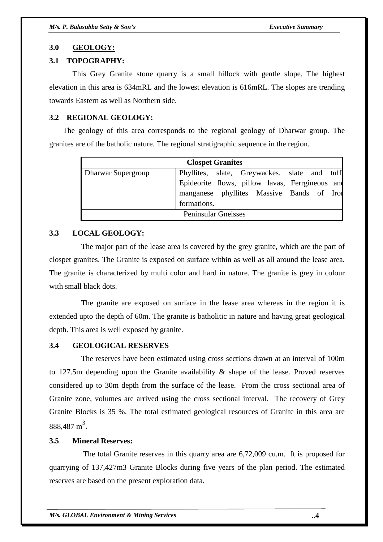#### **3.0 GEOLOGY:**

### **3.1 TOPOGRAPHY:**

 This Grey Granite stone quarry is a small hillock with gentle slope. The highest elevation in this area is 634mRL and the lowest elevation is 616mRL. The slopes are trending towards Eastern as well as Northern side.

#### **3.2 REGIONAL GEOLOGY:**

 The geology of this area corresponds to the regional geology of Dharwar group. The granites are of the batholic nature. The regional stratigraphic sequence in the region.

| <b>Clospet Granites</b> |                                                 |                            |  |  |  |  |  |  |  |
|-------------------------|-------------------------------------------------|----------------------------|--|--|--|--|--|--|--|
| Dharwar Supergroup      | Phyllites, slate, Greywackes, slate and tuff    |                            |  |  |  |  |  |  |  |
|                         | Epideorite flows, pillow lavas, Ferrgineous and |                            |  |  |  |  |  |  |  |
|                         | manganese phyllites Massive Bands of Irol       |                            |  |  |  |  |  |  |  |
|                         | formations.                                     |                            |  |  |  |  |  |  |  |
|                         |                                                 | <b>Peninsular Gneisses</b> |  |  |  |  |  |  |  |

#### **3.3 LOCAL GEOLOGY:**

 The major part of the lease area is covered by the grey granite, which are the part of clospet granites. The Granite is exposed on surface within as well as all around the lease area. The granite is characterized by multi color and hard in nature. The granite is grey in colour with small black dots.

 The granite are exposed on surface in the lease area whereas in the region it is extended upto the depth of 60m. The granite is batholitic in nature and having great geological depth. This area is well exposed by granite.

#### **3.4 GEOLOGICAL RESERVES**

 The reserves have been estimated using cross sections drawn at an interval of 100m to 127.5m depending upon the Granite availability  $\&$  shape of the lease. Proved reserves considered up to 30m depth from the surface of the lease. From the cross sectional area of Granite zone, volumes are arrived using the cross sectional interval. The recovery of Grey Granite Blocks is 35 %. The total estimated geological resources of Granite in this area are  $888,487 \text{ m}^3$ .

## **3.5 Mineral Reserves:**

 The total Granite reserves in this quarry area are 6,72,009 cu.m. It is proposed for quarrying of 137,427m3 Granite Blocks during five years of the plan period. The estimated reserves are based on the present exploration data.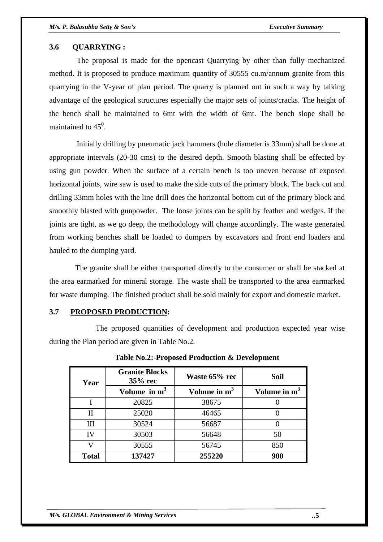#### **3.6 QUARRYING :**

 The proposal is made for the opencast Quarrying by other than fully mechanized method. It is proposed to produce maximum quantity of 30555 cu.m/annum granite from this quarrying in the V-year of plan period. The quarry is planned out in such a way by talking advantage of the geological structures especially the major sets of joints/cracks. The height of the bench shall be maintained to 6mt with the width of 6mt. The bench slope shall be maintained to  $45^0$ .

 Initially drilling by pneumatic jack hammers (hole diameter is 33mm) shall be done at appropriate intervals (20-30 cms) to the desired depth. Smooth blasting shall be effected by using gun powder. When the surface of a certain bench is too uneven because of exposed horizontal joints, wire saw is used to make the side cuts of the primary block. The back cut and drilling 33mm holes with the line drill does the horizontal bottom cut of the primary block and smoothly blasted with gunpowder. The loose joints can be split by feather and wedges. If the joints are tight, as we go deep, the methodology will change accordingly. The waste generated from working benches shall be loaded to dumpers by excavators and front end loaders and hauled to the dumping yard.

 The granite shall be either transported directly to the consumer or shall be stacked at the area earmarked for mineral storage. The waste shall be transported to the area earmarked for waste dumping. The finished product shall be sold mainly for export and domestic market.

#### **3.7 PROPOSED PRODUCTION:**

 The proposed quantities of development and production expected year wise during the Plan period are given in Table No.2.

| Year         | <b>Granite Blocks</b><br>$35%$ rec | Waste 65% rec  | Soil           |  |  |
|--------------|------------------------------------|----------------|----------------|--|--|
|              | Volume in $m3$                     | Volume in $m3$ | Volume in $m3$ |  |  |
|              | 20825                              | 38675          |                |  |  |
| $\mathbf{I}$ | 25020                              | 46465          |                |  |  |
| Ш            | 30524                              | 56687          |                |  |  |
| IV           | 30503                              | 56648          | 50             |  |  |
| v            | 30555                              | 56745          | 850            |  |  |
| <b>Total</b> | 137427                             | 255220         | 900            |  |  |

**Table No.2:-Proposed Production & Development**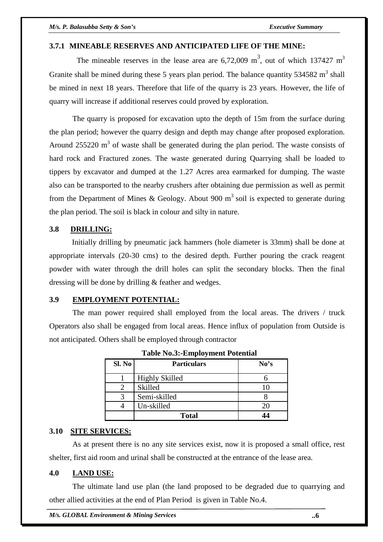### **3.7.1 MINEABLE RESERVES AND ANTICIPATED LIFE OF THE MINE:**

The mineable reserves in the lease area are  $6,72,009$  m<sup>3</sup>, out of which 137427 m<sup>3</sup> Granite shall be mined during these 5 years plan period. The balance quantity  $534582 \text{ m}^3$  shall be mined in next 18 years. Therefore that life of the quarry is 23 years. However, the life of quarry will increase if additional reserves could proved by exploration.

 The quarry is proposed for excavation upto the depth of 15m from the surface during the plan period; however the quarry design and depth may change after proposed exploration. Around 255220  $\text{m}^3$  of waste shall be generated during the plan period. The waste consists of hard rock and Fractured zones. The waste generated during Quarrying shall be loaded to tippers by excavator and dumped at the 1.27 Acres area earmarked for dumping. The waste also can be transported to the nearby crushers after obtaining due permission as well as permit from the Department of Mines & Geology. About 900  $m<sup>3</sup>$  soil is expected to generate during the plan period. The soil is black in colour and silty in nature.

# **3.8 DRILLING:**

 Initially drilling by pneumatic jack hammers (hole diameter is 33mm) shall be done at appropriate intervals (20-30 cms) to the desired depth. Further pouring the crack reagent powder with water through the drill holes can split the secondary blocks. Then the final dressing will be done by drilling & feather and wedges.

#### **3.9 EMPLOYMENT POTENTIAL:**

 The man power required shall employed from the local areas. The drivers / truck Operators also shall be engaged from local areas. Hence influx of population from Outside is not anticipated. Others shall be employed through contractor

| Sl. No | <b>Particulars</b>    | No's |
|--------|-----------------------|------|
|        | <b>Highly Skilled</b> |      |
|        | <b>Skilled</b>        | 10   |
|        | Semi-skilled          |      |
|        | Un-skilled            | 20   |
|        | <b>Total</b>          | 44   |

**Table No.3:-Employment Potential**

#### **3.10 SITE SERVICES:**

 As at present there is no any site services exist, now it is proposed a small office, rest shelter, first aid room and urinal shall be constructed at the entrance of the lease area.

#### **4.0 LAND USE:**

 The ultimate land use plan (the land proposed to be degraded due to quarrying and other allied activities at the end of Plan Period is given in Table No.4.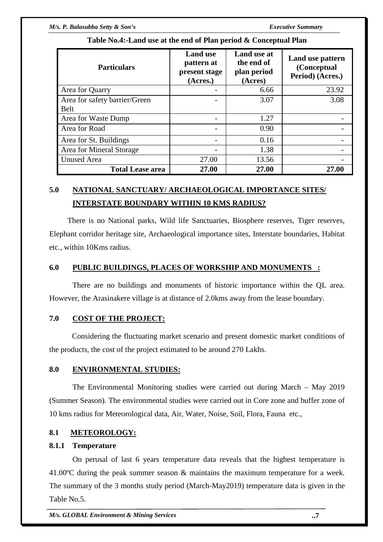| <b>Particulars</b>            | <b>Land use</b><br>pattern at<br>present stage<br>(Acres.) | Land use at<br>the end of<br>plan period<br>(Acres) | Land use pattern<br>(Conceptual<br>Period) (Acres.) |
|-------------------------------|------------------------------------------------------------|-----------------------------------------------------|-----------------------------------------------------|
| Area for Quarry               |                                                            | 6.66                                                | 23.92                                               |
| Area for safety barrier/Green |                                                            | 3.07                                                | 3.08                                                |
| <b>Belt</b>                   |                                                            |                                                     |                                                     |
| Area for Waste Dump           |                                                            | 1.27                                                |                                                     |
| Area for Road                 |                                                            | 0.90                                                |                                                     |
| Area for St. Buildings        |                                                            | 0.16                                                |                                                     |
| Area for Mineral Storage      |                                                            | 1.38                                                |                                                     |
| <b>Unused Area</b>            | 27.00                                                      | 13.56                                               |                                                     |
| <b>Total Lease area</b>       | 27.00                                                      | 27.00                                               | 27.00                                               |

# **Table No.4:-Land use at the end of Plan period & Conceptual Plan**

# **5.0 NATIONAL SANCTUARY/ ARCHAEOLOGICAL IMPORTANCE SITES/ INTERSTATE BOUNDARY WITHIN 10 KMS RADIUS?**

 There is no National parks, Wild life Sanctuaries, Biosphere reserves, Tiger reserves, Elephant corridor heritage site, Archaeological importance sites, Interstate boundaries, Habitat etc., within 10Kms radius.

# **6.0 PUBLIC BUILDINGS, PLACES OF WORKSHIP AND MONUMENTS :**

 There are no buildings and monuments of historic importance within the QL area. However, the Arasinakere village is at distance of 2.0kms away from the lease boundary.

# **7.0 COST OF THE PROJECT:**

 Considering the fluctuating market scenario and present domestic market conditions of the products, the cost of the project estimated to be around 270 Lakhs.

# **8.0 ENVIRONMENTAL STUDIES:**

 The Environmental Monitoring studies were carried out during March – May 2019 (Summer Season). The environmental studies were carried out in Core zone and buffer zone of 10 kms radius for Meteorological data, Air, Water, Noise, Soil, Flora, Fauna etc.,

# **8.1 METEOROLOGY:**

# **8.1.1 Temperature**

 On perusal of last 6 years temperature data reveals that the highest temperature is 41.00ºC during the peak summer season & maintains the maximum temperature for a week. The summary of the 3 months study period (March-May2019) temperature data is given in the Table No.5.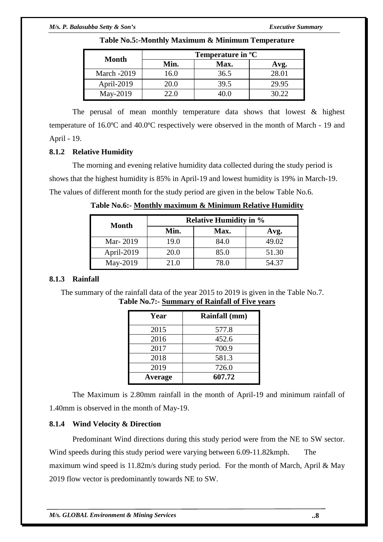| Month              | Temperature in <sup>o</sup> C |      |       |  |  |  |
|--------------------|-------------------------------|------|-------|--|--|--|
|                    | Min.                          | Max. | Avg.  |  |  |  |
| <b>March -2019</b> | 16.0                          | 36.5 | 28.01 |  |  |  |
| April-2019         | 20.0                          | 39.5 | 29.95 |  |  |  |
| May-2019           | 22.0                          | 10 O | 30.22 |  |  |  |

**Table No.5:-Monthly Maximum & Minimum Temperature** 

 The perusal of mean monthly temperature data shows that lowest & highest temperature of 16.0ºC and 40.0ºC respectively were observed in the month of March - 19 and April - 19.

# **8.1.2 Relative Humidity**

 The morning and evening relative humidity data collected during the study period is shows that the highest humidity is 85% in April-19 and lowest humidity is 19% in March-19. The values of different month for the study period are given in the below Table No.6.

| Month      | <b>Relative Humidity in %</b> |      |       |  |  |  |  |
|------------|-------------------------------|------|-------|--|--|--|--|
|            | Min.                          | Max. | Avg.  |  |  |  |  |
| Mar-2019   | 19.0                          | 84.0 | 49.02 |  |  |  |  |
| April-2019 | 20.0                          | 85.0 | 51.30 |  |  |  |  |
| May-2019   | 21.0                          | 78.0 | 54.37 |  |  |  |  |

**Table No.6:- Monthly maximum & Minimum Relative Humidity**

# **8.1.3 Rainfall**

 The summary of the rainfall data of the year 2015 to 2019 is given in the Table No.7. **Table No.7:- Summary of Rainfall of Five years**

| Year    | Rainfall (mm) |
|---------|---------------|
| 2015    | 577.8         |
| 2016    | 452.6         |
| 2017    | 700.9         |
| 2018    | 581.3         |
| 2019    | 726.0         |
| Average | 607.72        |

 The Maximum is 2.80mm rainfall in the month of April-19 and minimum rainfall of 1.40mm is observed in the month of May-19.

# **8.1.4 Wind Velocity & Direction**

 Predominant Wind directions during this study period were from the NE to SW sector. Wind speeds during this study period were varying between 6.09-11.82 kmph. The maximum wind speed is 11.82m/s during study period. For the month of March, April & May 2019 flow vector is predominantly towards NE to SW.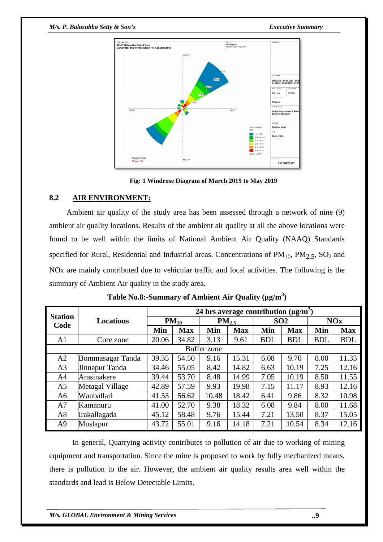#### *M/s. P. Balasubba Setty & Son's*

 *Executive Summary*



 **Fig: 1 Windrose Diagram of March 2019 to May 2019**

#### **8.2 AIR ENVIRONMENT:**

 Ambient air quality of the study area has been assessed through a network of nine (9) ambient air quality locations. Results of the ambient air quality at all the above locations were found to be well within the limits of National Ambient Air Quality (NAAQ) Standards specified for Rural, Residential and Industrial areas. Concentrations of  $PM_{10}$ ,  $PM_{2.5}$ ,  $SO_2$  and NOx are mainly contributed due to vehicular traffic and local activities. The following is the summary of Ambient Air quality in the study area.

|                        |                    | 24 hrs average contribution $(\mu g/m^3)$ |            |       |            |            |                 |            |            |  |
|------------------------|--------------------|-------------------------------------------|------------|-------|------------|------------|-----------------|------------|------------|--|
| <b>Station</b><br>Code | Locations          | $PM_{10}$                                 |            |       | $PM_{2.5}$ |            | SO <sub>2</sub> |            | <b>NOx</b> |  |
|                        |                    | Min                                       | <b>Max</b> | Min   | <b>Max</b> | Min        | <b>Max</b>      | Min        | <b>Max</b> |  |
| A1                     | Core zone          | 20.06                                     | 34.82      | 3.13  | 9.61       | <b>BDL</b> | <b>BDL</b>      | <b>BDL</b> | <b>BDL</b> |  |
|                        | <b>Buffer</b> zone |                                           |            |       |            |            |                 |            |            |  |
| A2                     | Bommasagar Tanda   | 39.35                                     | 54.50      | 9.16  | 15.31      | 6.08       | 9.70            | 8.00       | 11.33      |  |
| A <sub>3</sub>         | Jinnapur Tanda     | 34.46                                     | 55.05      | 8.42  | 14.82      | 6.63       | 10.19           | 7.25       | 12.16      |  |
| A <sub>4</sub>         | Arasinakere        | 39.44                                     | 53.70      | 8.48  | 14.99      | 7.05       | 10.19           | 8.50       | 11.55      |  |
| A <sub>5</sub>         | Metagal Village    | 42.89                                     | 57.59      | 9.93  | 19.98      | 7.15       | 11.17           | 8.93       | 12.16      |  |
| A6                     | Wanballari         | 41.53                                     | 56.62      | 10.48 | 18.42      | 6.41       | 9.86            | 8.32       | 10.98      |  |
| A7                     | Kamanuru           | 41.00                                     | 52.70      | 9.38  | 18.32      | 6.08       | 9.84            | 8.00       | 11.68      |  |
| A8                     | Irakallagada       | 45.12                                     | 58.48      | 9.76  | 15.44      | 7.21       | 13.50           | 8.37       | 15.05      |  |
| A <sub>9</sub>         | Muslapur           | 43.72                                     | 55.01      | 9.16  | 14.18      | 7.21       | 10.54           | 8.34       | 12.16      |  |

In general, Quarrying activity contributes to pollution of air due to working of mining equipment and transportation. Since the mine is proposed to work by fully mechanized means, there is pollution to the air. However, the ambient air quality results area well within the standards and lead is Below Detectable Limits.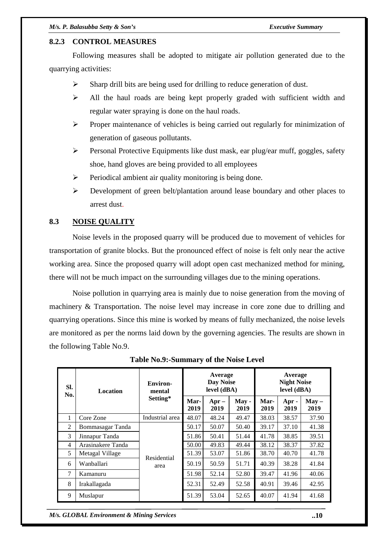#### **8.2.3 CONTROL MEASURES**

 Following measures shall be adopted to mitigate air pollution generated due to the quarrying activities:

- $\triangleright$  Sharp drill bits are being used for drilling to reduce generation of dust.
- $\triangleright$  All the haul roads are being kept properly graded with sufficient width and regular water spraying is done on the haul roads.
- $\triangleright$  Proper maintenance of vehicles is being carried out regularly for minimization of generation of gaseous pollutants.
- Personal Protective Equipments like dust mask, ear plug/ear muff, goggles, safety shoe, hand gloves are being provided to all employees
- $\triangleright$  Periodical ambient air quality monitoring is being done.
- $\triangleright$  Development of green belt/plantation around lease boundary and other places to arrest dust.

#### **8.3 NOISE QUALITY**

 Noise levels in the proposed quarry will be produced due to movement of vehicles for transportation of granite blocks. But the pronounced effect of noise is felt only near the active working area. Since the proposed quarry will adopt open cast mechanized method for mining, there will not be much impact on the surrounding villages due to the mining operations.

 Noise pollution in quarrying area is mainly due to noise generation from the moving of machinery & Transportation. The noise level may increase in core zone due to drilling and quarrying operations. Since this mine is worked by means of fully mechanized, the noise levels are monitored as per the norms laid down by the governing agencies. The results are shown in the following Table No.9.

| SI.<br>No.     | <b>Location</b>   | <b>Environ-</b><br>mental | Average<br>Average<br><b>Day Noise</b><br><b>Night Noise</b><br>level (dBA)<br>level (dBA) |                 |               |              |               |                 |
|----------------|-------------------|---------------------------|--------------------------------------------------------------------------------------------|-----------------|---------------|--------------|---------------|-----------------|
| Setting*       |                   |                           | Mar-<br>2019                                                                               | $Apr -$<br>2019 | May -<br>2019 | Mar-<br>2019 | Apr -<br>2019 | $May -$<br>2019 |
| 1              | Core Zone         | Industrial area           | 48.07                                                                                      | 48.24           | 49.47         | 38.03        | 38.57         | 37.90           |
| $\mathfrak{D}$ | Bommasagar Tanda  |                           | 50.17                                                                                      | 50.07           | 50.40         | 39.17        | 37.10         | 41.38           |
| 3              | Jinnapur Tanda    |                           | 51.86                                                                                      | 50.41           | 51.44         | 41.78        | 38.85         | 39.51           |
| 4              | Arasinakere Tanda |                           | 50.00                                                                                      | 49.83           | 49.44         | 38.12        | 38.37         | 37.82           |
| 5              | Metagal Village   | Residential               | 51.39                                                                                      | 53.07           | 51.86         | 38.70        | 40.70         | 41.78           |
| 6              | Wanballari        | area                      | 50.19                                                                                      | 50.59           | 51.71         | 40.39        | 38.28         | 41.84           |
| 7              | Kamanuru          |                           | 51.98                                                                                      | 52.14           | 52.80         | 39.47        | 41.96         | 40.06           |
| 8              | Irakallagada      |                           | 52.31                                                                                      | 52.49           | 52.58         | 40.91        | 39.46         | 42.95           |
| 9              | Muslapur          |                           | 51.39                                                                                      | 53.04           | 52.65         | 40.07        | 41.94         | 41.68           |

**Table No.9:-Summary of the Noise Level** 

*M/s. GLOBAL Environment & Mining Services* **..10**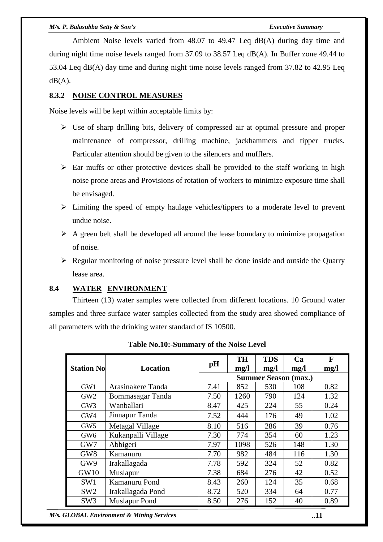#### *M/s. P. Balasubba Setty & Son's Executive Summary*

 Ambient Noise levels varied from 48.07 to 49.47 Leq dB(A) during day time and during night time noise levels ranged from 37.09 to 38.57 Leq dB(A). In Buffer zone 49.44 to 53.04 Leq dB(A) day time and during night time noise levels ranged from 37.82 to 42.95 Leq  $dB(A)$ .

# **8.3.2 NOISE CONTROL MEASURES**

Noise levels will be kept within acceptable limits by:

- $\triangleright$  Use of sharp drilling bits, delivery of compressed air at optimal pressure and proper maintenance of compressor, drilling machine, jackhammers and tipper trucks. Particular attention should be given to the silencers and mufflers.
- $\triangleright$  Ear muffs or other protective devices shall be provided to the staff working in high noise prone areas and Provisions of rotation of workers to minimize exposure time shall be envisaged.
- $\triangleright$  Limiting the speed of empty haulage vehicles/tippers to a moderate level to prevent undue noise.
- $\triangleright$  A green belt shall be developed all around the lease boundary to minimize propagation of noise.
- $\triangleright$  Regular monitoring of noise pressure level shall be done inside and outside the Quarry lease area.

#### **8.4 WATER ENVIRONMENT**

 Thirteen (13) water samples were collected from different locations. 10 Ground water samples and three surface water samples collected from the study area showed compliance of all parameters with the drinking water standard of IS 10500.

| <b>Station No</b> | <b>Location</b>      | pH                          | <b>TH</b><br>mg/l | <b>TDS</b><br>mg/l | Ca<br>mg/l | F<br>mg/l |  |
|-------------------|----------------------|-----------------------------|-------------------|--------------------|------------|-----------|--|
|                   |                      | <b>Summer Season (max.)</b> |                   |                    |            |           |  |
| GW1               | Arasinakere Tanda    | 7.41                        | 852               | 530                | 108        | 0.82      |  |
| GW <sub>2</sub>   | Bommasagar Tanda     | 7.50                        | 1260              | 790                | 124        | 1.32      |  |
| GW <sub>3</sub>   | Wanballari           | 8.47                        | 425               | 224                | 55         | 0.24      |  |
| GW4               | Jinnapur Tanda       | 7.52                        | 444               | 176                | 49         | 1.02      |  |
| GW <sub>5</sub>   | Metagal Village      | 8.10                        | 516               | 286                | 39         | 0.76      |  |
| GW <sub>6</sub>   | Kukanpalli Village   | 7.30                        | 774               | 354                | 60         | 1.23      |  |
| GW7               | Abbigeri             | 7.97                        | 1098              | 526                | 148        | 1.30      |  |
| GW <sub>8</sub>   | Kamanuru             | 7.70                        | 982               | 484                | 116        | 1.30      |  |
| GW9               | Irakallagada         | 7.78                        | 592               | 324                | 52         | 0.82      |  |
| GW10              | Muslapur             | 7.38                        | 684               | 276                | 42         | 0.52      |  |
| SW <sub>1</sub>   | Kamanuru Pond        | 8.43                        | 260               | 124                | 35         | 0.68      |  |
| SW <sub>2</sub>   | Irakallagada Pond    | 8.72                        | 520               | 334                | 64         | 0.77      |  |
| SW <sub>3</sub>   | <b>Muslapur Pond</b> | 8.50                        | 276               | 152                | 40         | 0.89      |  |

**Table No.10:-Summary of the Noise Level** 

*M/s. GLOBAL Environment & Mining Services* **..11**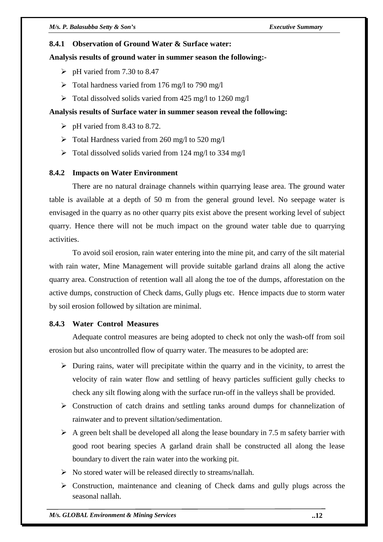#### **8.4.1 Observation of Ground Water & Surface water:**

#### **Analysis results of ground water in summer season the following:-**

- $\triangleright$  pH varied from 7.30 to 8.47
- $\triangleright$  Total hardness varied from 176 mg/l to 790 mg/l
- $\triangleright$  Total dissolved solids varied from 425 mg/l to 1260 mg/l

# **Analysis results of Surface water in summer season reveal the following:**

- $\triangleright$  pH varied from 8.43 to 8.72.
- $\triangleright$  Total Hardness varied from 260 mg/l to 520 mg/l
- $\triangleright$  Total dissolved solids varied from 124 mg/l to 334 mg/l

# **8.4.2 Impacts on Water Environment**

 There are no natural drainage channels within quarrying lease area. The ground water table is available at a depth of 50 m from the general ground level. No seepage water is envisaged in the quarry as no other quarry pits exist above the present working level of subject quarry. Hence there will not be much impact on the ground water table due to quarrying activities.

 To avoid soil erosion, rain water entering into the mine pit, and carry of the silt material with rain water, Mine Management will provide suitable garland drains all along the active quarry area. Construction of retention wall all along the toe of the dumps, afforestation on the active dumps, construction of Check dams, Gully plugs etc. Hence impacts due to storm water by soil erosion followed by siltation are minimal.

# **8.4.3 Water Control Measures**

 Adequate control measures are being adopted to check not only the wash-off from soil erosion but also uncontrolled flow of quarry water. The measures to be adopted are:

- $\triangleright$  During rains, water will precipitate within the quarry and in the vicinity, to arrest the velocity of rain water flow and settling of heavy particles sufficient gully checks to check any silt flowing along with the surface run-off in the valleys shall be provided.
- Construction of catch drains and settling tanks around dumps for channelization of rainwater and to prevent siltation/sedimentation.
- $\triangleright$  A green belt shall be developed all along the lease boundary in 7.5 m safety barrier with good root bearing species A garland drain shall be constructed all along the lease boundary to divert the rain water into the working pit.
- $\triangleright$  No stored water will be released directly to streams/nallah.
- $\triangleright$  Construction, maintenance and cleaning of Check dams and gully plugs across the seasonal nallah.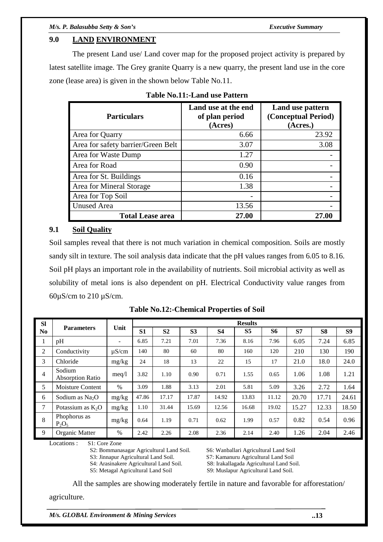# **9.0 LAND ENVIRONMENT**

 The present Land use/ Land cover map for the proposed project activity is prepared by latest satellite image. The Grey granite Quarry is a new quarry, the present land use in the core zone (lease area) is given in the shown below Table No.11.

| <b>Particulars</b>                 | Land use at the end<br>of plan period<br>(Acres) | Land use pattern<br>(Conceptual Period)<br>(Acres.) |
|------------------------------------|--------------------------------------------------|-----------------------------------------------------|
| Area for Quarry                    | 6.66                                             | 23.92                                               |
| Area for safety barrier/Green Belt | 3.07                                             | 3.08                                                |
| Area for Waste Dump                | 1.27                                             |                                                     |
| Area for Road                      | 0.90                                             |                                                     |
| Area for St. Buildings             | 0.16                                             |                                                     |
| Area for Mineral Storage           | 1.38                                             |                                                     |
| Area for Top Soil                  | -                                                |                                                     |
| <b>Unused Area</b>                 | 13.56                                            |                                                     |
| <b>Total Lease area</b>            | 27.00                                            | 27.00                                               |

|  |  | <b>Table No.11:-Land use Pattern</b> |  |
|--|--|--------------------------------------|--|
|--|--|--------------------------------------|--|

# **9.1 Soil Quality**

Soil samples reveal that there is not much variation in chemical composition. Soils are mostly sandy silt in texture. The soil analysis data indicate that the pH values ranges from 6.05 to 8.16. Soil pH plays an important role in the availability of nutrients. Soil microbial activity as well as solubility of metal ions is also dependent on pH. Electrical Conductivity value ranges from  $60\mu$ S/cm to 210  $\mu$ S/cm.

| <b>SI</b>      |                                   |                          |                | <b>Results</b> |                |           |                |       |       |                |                |
|----------------|-----------------------------------|--------------------------|----------------|----------------|----------------|-----------|----------------|-------|-------|----------------|----------------|
| N <sub>0</sub> | <b>Parameters</b>                 | Unit                     | S <sub>1</sub> | S <sub>2</sub> | S <sub>3</sub> | <b>S4</b> | S <sub>5</sub> | S6    | S7    | S <sub>8</sub> | S <sub>9</sub> |
| 1              | pH                                | $\overline{\phantom{a}}$ | 6.85           | 7.21           | 7.01           | 7.36      | 8.16           | 7.96  | 6.05  | 7.24           | 6.85           |
| 2              | Conductivity                      | $\mu$ S/cm               | 140            | 80             | 60             | 80        | 160            | 120   | 210   | 130            | 190            |
| 3              | Chloride                          | mg/kg                    | 24             | 18             | 13             | 22        | 15             | 17    | 21.0  | 18.0           | 24.0           |
| 4              | Sodium<br><b>Absorption Ratio</b> | meq/l                    | 3.82           | 1.10           | 0.90           | 0.71      | 1.55           | 0.65  | 1.06  | 1.08           | 1.21           |
| 5              | Moisture Content                  | $\frac{0}{0}$            | 3.09           | 1.88           | 3.13           | 2.01      | 5.81           | 5.09  | 3.26  | 2.72           | 1.64           |
| 6              | Sodium as $Na2O$                  | mg/kg                    | 47.86          | 17.17          | 17.87          | 14.92     | 13.83          | 11.12 | 20.70 | 17.71          | 24.61          |
| $\overline{7}$ | Potassium as $K_2O$               | mg/kg                    | 1.10           | 31.44          | 15.69          | 12.56     | 16.68          | 19.02 | 15.27 | 12.33          | 18.50          |
| 8              | Phophorus as<br>$P_2O_5$          | mg/kg                    | 0.64           | 1.19           | 0.71           | 0.62      | 1.99           | 0.57  | 0.82  | 0.54           | 0.96           |
| 9              | Organic Matter                    | %                        | 2.42           | 2.26           | 2.08           | 2.36      | 2.14           | 2.40  | 1.26  | 2.04           | 2.46           |

**Table No.12:-Chemical Properties of Soil**

Locations : S1: Core Zone

S2: Bommanasagar Agricultural Land Soil. S6: Wanballari Agricultural Land Soil

S3: Jinnapur Agricultural Land Soil. S7: Kamanuru Agricultural Land Soil

S4: Arasinakere Agricultural Land Soil. S8: Irakallagada Agricultural Land Soil.

S5: Metagal Agricultural Land Soil S9: Muslapur Agricultural Land Soil.

All the samples are showing moderately fertile in nature and favorable for afforestation/

agriculture.

*M/s. GLOBAL Environment & Mining Services* **..13**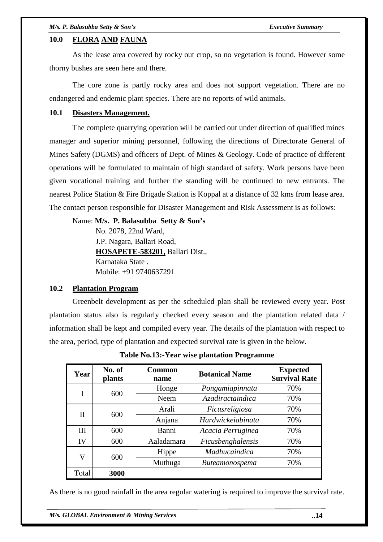# **10.0 FLORA AND FAUNA**

 As the lease area covered by rocky out crop, so no vegetation is found. However some thorny bushes are seen here and there.

 The core zone is partly rocky area and does not support vegetation. There are no endangered and endemic plant species. There are no reports of wild animals.

#### **10.1 Disasters Management.**

 The complete quarrying operation will be carried out under direction of qualified mines manager and superior mining personnel, following the directions of Directorate General of Mines Safety (DGMS) and officers of Dept. of Mines & Geology. Code of practice of different operations will be formulated to maintain of high standard of safety. Work persons have been given vocational training and further the standing will be continued to new entrants. The nearest Police Station & Fire Brigade Station is Koppal at a distance of 32 kms from lease area. The contact person responsible for Disaster Management and Risk Assessment is as follows:

Name: **M/s. P. Balasubba Setty & Son's** 

No. 2078, 22nd Ward, J.P. Nagara, Ballari Road, **HOSAPETE**-**583201,** Ballari Dist., Karnataka State . Mobile: +91 9740637291

# **10.2 Plantation Program**

Greenbelt development as per the scheduled plan shall be reviewed every year. Post plantation status also is regularly checked every season and the plantation related data / information shall be kept and compiled every year. The details of the plantation with respect to the area, period, type of plantation and expected survival rate is given in the below.

| Year             | No. of<br><b>plants</b> | <b>Common</b><br>name   | <b>Botanical Name</b>    | <b>Expected</b><br><b>Survival Rate</b> |
|------------------|-------------------------|-------------------------|--------------------------|-----------------------------------------|
|                  |                         | Honge                   | Pongamiapinnata          | 70%                                     |
| 600<br>I<br>Neem |                         | <i>Azadiractaindica</i> | 70%                      |                                         |
|                  |                         | Ficusreligiosa<br>Arali |                          | 70%                                     |
| Н                | 600                     | Anjana                  | <b>Hardwickeiabinata</b> | 70%                                     |
| Ш                | 600                     | Banni                   | Acacia Perruginea        | 70%                                     |
| IV               | 600                     | Aaladamara              | Ficusbenghalensis        | 70%                                     |
| V                | Hippe                   |                         | Madhucaindica            | 70%                                     |
|                  | 600                     | Muthuga                 | <b>Buteamonospema</b>    | 70%                                     |
| Total            | 3000                    |                         |                          |                                         |

**Table No.13:-Year wise plantation Programme** 

As there is no good rainfall in the area regular watering is required to improve the survival rate.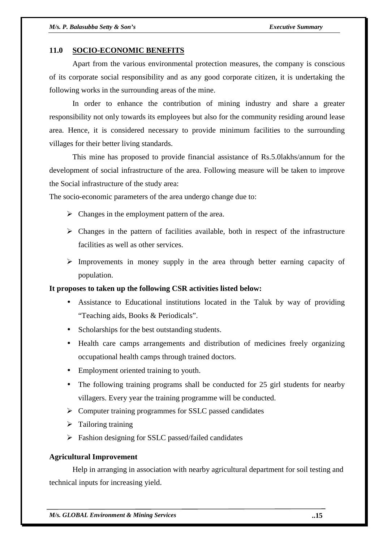#### **11.0 SOCIO-ECONOMIC BENEFITS**

 Apart from the various environmental protection measures, the company is conscious of its corporate social responsibility and as any good corporate citizen, it is undertaking the following works in the surrounding areas of the mine.

 In order to enhance the contribution of mining industry and share a greater responsibility not only towards its employees but also for the community residing around lease area. Hence, it is considered necessary to provide minimum facilities to the surrounding villages for their better living standards.

 This mine has proposed to provide financial assistance of Rs.5.0lakhs/annum for the development of social infrastructure of the area. Following measure will be taken to improve the Social infrastructure of the study area:

The socio-economic parameters of the area undergo change due to:

- $\triangleright$  Changes in the employment pattern of the area.
- $\triangleright$  Changes in the pattern of facilities available, both in respect of the infrastructure facilities as well as other services.
- $\triangleright$  Improvements in money supply in the area through better earning capacity of population.

#### **It proposes to taken up the following CSR activities listed below:**

- Assistance to Educational institutions located in the Taluk by way of providing "Teaching aids, Books & Periodicals".
- Scholarships for the best outstanding students.
- Health care camps arrangements and distribution of medicines freely organizing occupational health camps through trained doctors.
- Employment oriented training to youth.
- The following training programs shall be conducted for 25 girl students for nearby villagers. Every year the training programme will be conducted.
- $\triangleright$  Computer training programmes for SSLC passed candidates
- $\triangleright$  Tailoring training
- $\triangleright$  Fashion designing for SSLC passed/failed candidates

#### **Agricultural Improvement**

 Help in arranging in association with nearby agricultural department for soil testing and technical inputs for increasing yield.